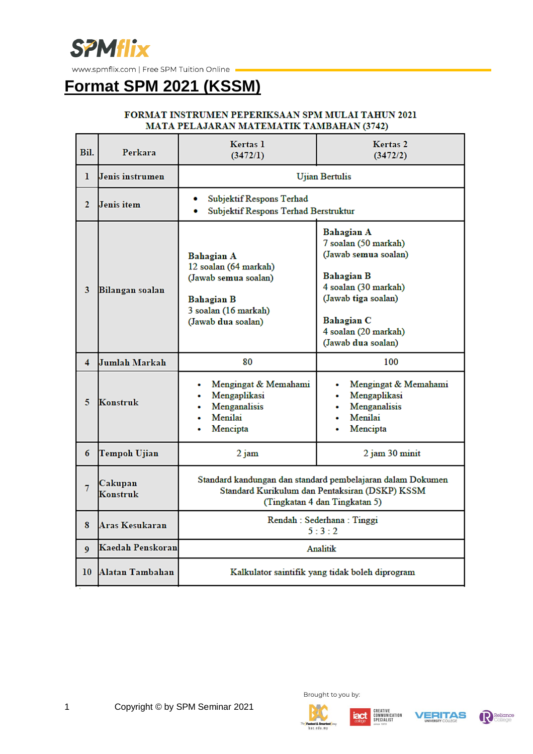

### **Format SPM 2021 (KSSM)**

#### FORMAT INSTRUMEN PEPERIKSAAN SPM MULAI TAHUN 2021 MATA PELAJARAN MATEMATIK TAMBAHAN (3742)

| Bil.           | Perkara             | Kertas 1<br>(3472/1)                                                                                                                          | Kertas <sub>2</sub><br>(3472/2)                                                                                                                                                            |  |  |  |
|----------------|---------------------|-----------------------------------------------------------------------------------------------------------------------------------------------|--------------------------------------------------------------------------------------------------------------------------------------------------------------------------------------------|--|--|--|
| 1              | Jenis instrumen     | <b>Ujian Bertulis</b>                                                                                                                         |                                                                                                                                                                                            |  |  |  |
| $\mathbf{2}$   | Jenis item          | Subjektif Respons Terhad<br>۰<br>Subjektif Respons Terhad Berstruktur<br>۰                                                                    |                                                                                                                                                                                            |  |  |  |
| 3              | Bilangan soalan     | <b>Bahagian A</b><br>12 soalan (64 markah)<br>(Jawab semua soalan)<br><b>Bahagian B</b><br>3 soalan (16 markah)<br>(Jawab dua soalan)         | Bahagian A<br>7 soalan (50 markah)<br>(Jawab semua soalan)<br><b>Bahagian B</b><br>4 soalan (30 markah)<br>(Jawab tiga soalan)<br>Bahagian C<br>4 soalan (20 markah)<br>(Jawab dua soalan) |  |  |  |
| 4              | Jumlah Markah       | 80                                                                                                                                            | 100                                                                                                                                                                                        |  |  |  |
| 5              | Konstruk            | Mengingat & Memahami<br>Mengaplikasi<br>Menganalisis<br>Menilai<br>Mencipta                                                                   | Mengingat & Memahami<br>٠<br>Mengaplikasi<br>Menganalisis<br>Menilai<br>Mencipta                                                                                                           |  |  |  |
| 6              | Tempoh Ujian        | $2$ jam                                                                                                                                       | 2 jam 30 minit                                                                                                                                                                             |  |  |  |
| $\overline{7}$ | Cakupan<br>Konstruk | Standard kandungan dan standard pembelajaran dalam Dokumen<br>Standard Kurikulum dan Pentaksiran (DSKP) KSSM<br>(Tingkatan 4 dan Tingkatan 5) |                                                                                                                                                                                            |  |  |  |
| 8              | Aras Kesukaran      | Rendah : Sederhana : Tinggi<br>5:3:2                                                                                                          |                                                                                                                                                                                            |  |  |  |
| 9              | Kaedah Penskoran    | Analitik                                                                                                                                      |                                                                                                                                                                                            |  |  |  |
| 10             | Alatan Tambahan     | Kalkulator saintifik yang tidak boleh diprogram                                                                                               |                                                                                                                                                                                            |  |  |  |









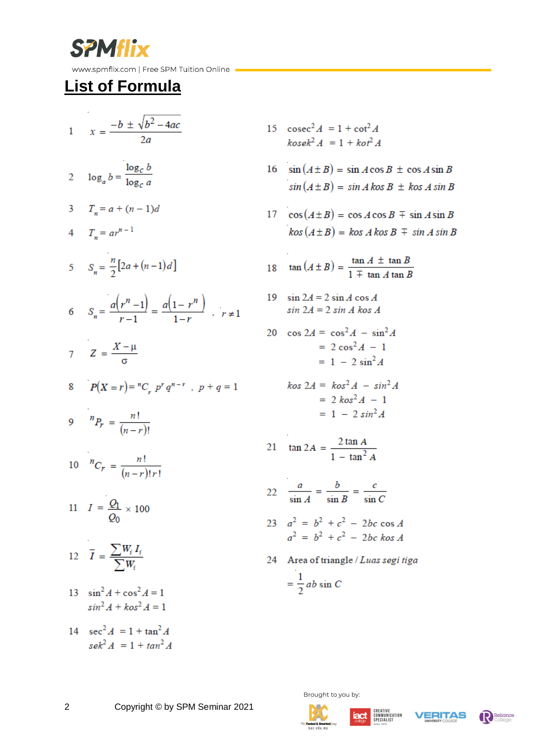

# **List of Formula**

- 1  $x = \frac{-b \pm \sqrt{b^2 4ac}}{2a}$ 2  $\log_a b = \frac{\log_c b}{\log_c a}$ 3  $T_n = a + (n-1)d$ 4  $T_{n} = ar^{n-1}$ 5  $S_n = \frac{n}{2} [2a + (n-1)d]$ 6  $S_n = \frac{a(r^n - 1)}{1} = \frac{a(1 - r^n)}{1}$ ,  $r \neq 1$  $7 \quad Z = \frac{X - \mu}{\sigma}$ 8  $P(X = r) = {^{n}C}_r p^{r} q^{n-r}$ ,  $p + q = 1$ 9  ${}^{n}P_{r} = \frac{n!}{(n-r)!}$ 10  ${}^{n}C_r = \frac{n!}{(n-r)!r!}$ 11  $I = \frac{Q_1}{Q_0} \times 100$ 12  $\overline{I} = \frac{\sum W_i I_i}{\sum W_i}$ 13  $\sin^2 A + \cos^2 A = 1$  $\sin^2 A + \cos^2 A = 1$
- 14  $sec^2 A = 1 + tan^2 A$  $se^{2} A = 1 + tan^{2} A$
- 15  $\csc^2 A = 1 + \cot^2 A$  $k$ osek<sup>2</sup> A = 1 + kot<sup>2</sup> A
- 16  $\sin(A \pm B) = \sin A \cos B \pm \cos A \sin B$  $sin(A \pm B) = sin A kos B \pm kos A sin B$
- 17  $\cos(A \pm B) = \cos A \cos B \mp \sin A \sin B$  $kos(A \pm B) = kos \land kos \land \mp sin \land sin \land B$

18 
$$
\tan(A \pm B) = \frac{\tan A \pm \tan B}{1 \mp \tan A \tan B}
$$

19  $\sin 2A = 2 \sin A \cos A$  $sin 2A = 2 sin A$  kos A

$$
20 \quad \cos 2A = \cos^2 A - \sin^2 A
$$

$$
= 2 \cos^2 A - 1
$$

$$
= 1 - 2 \sin^2 A
$$

$$
kos 2A = kos2 A - sin2 A
$$
  
= 2 kos<sup>2</sup> A - 1  
= 1 - 2 sin<sup>2</sup> A

$$
21 \quad \tan 2A = \frac{2 \tan A}{1 - \tan^2 A}
$$

- 22  $rac{a}{\sin A} = \frac{b}{\sin B} = \frac{c}{\sin C}$
- 23  $a^2 = b^2 + c^2 2bc \cos A$  $a^2 = b^2 + c^2 - 2bc \text{ } k\text{ } \text{ } \text{ } a \text{ } 4$
- 24 Area of triangle / Luas segi tiga  $=\frac{1}{2}ab\sin C$

Brought to you by





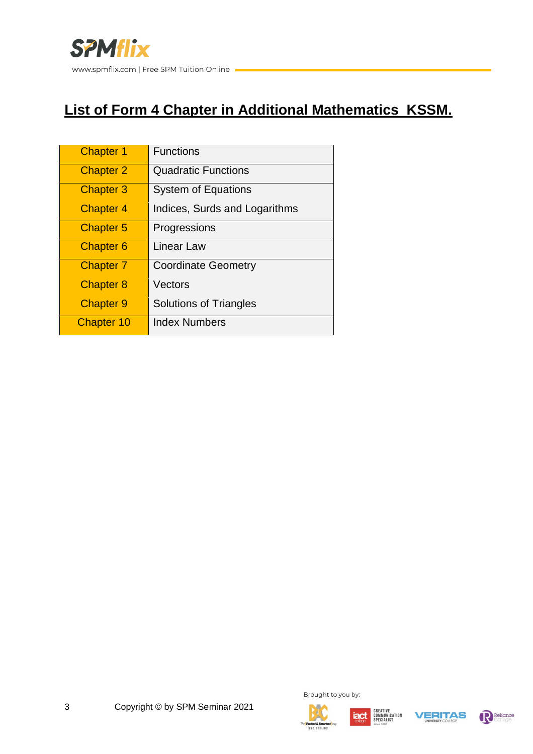

### **List of Form 4 Chapter in Additional Mathematics KSSM.**

| <b>Chapter 1</b>  | <b>Functions</b>              |
|-------------------|-------------------------------|
| <b>Chapter 2</b>  | <b>Quadratic Functions</b>    |
| <b>Chapter 3</b>  | <b>System of Equations</b>    |
| <b>Chapter 4</b>  | Indices, Surds and Logarithms |
| <b>Chapter 5</b>  | Progressions                  |
| <b>Chapter 6</b>  | Linear Law                    |
| <b>Chapter 7</b>  | <b>Coordinate Geometry</b>    |
| <b>Chapter 8</b>  | Vectors                       |
| <b>Chapter 9</b>  | <b>Solutions of Triangles</b> |
| <b>Chapter 10</b> | <b>Index Numbers</b>          |









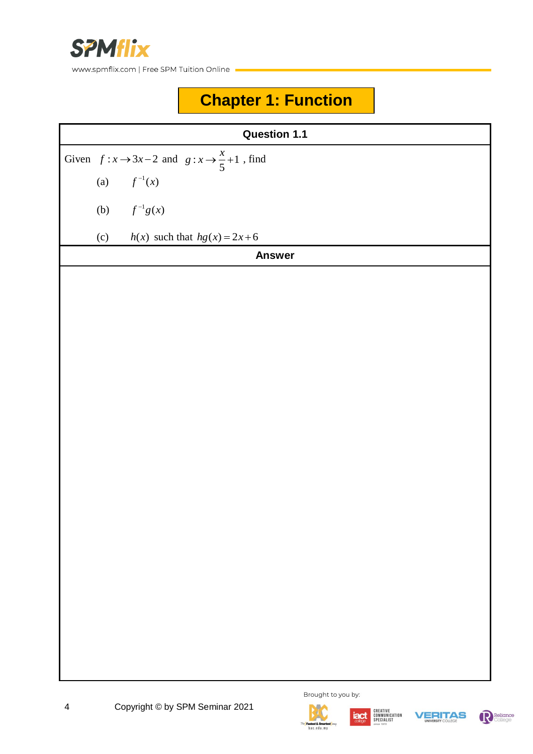

# **Chapter 1: Function**

| <b>Question 1.1</b> |                                                           |                                     |  |  |  |
|---------------------|-----------------------------------------------------------|-------------------------------------|--|--|--|
|                     | Given $f: x \to 3x-2$ and $g: x \to \frac{x}{5}+1$ , find |                                     |  |  |  |
|                     |                                                           | (a) $f^{-1}(x)$                     |  |  |  |
|                     |                                                           | (b) $f^{-1}g(x)$                    |  |  |  |
|                     |                                                           | (c) $h(x)$ such that $hg(x) = 2x+6$ |  |  |  |
|                     |                                                           | <b>Answer</b>                       |  |  |  |
|                     |                                                           |                                     |  |  |  |
|                     |                                                           |                                     |  |  |  |
|                     |                                                           |                                     |  |  |  |
|                     |                                                           |                                     |  |  |  |
|                     |                                                           |                                     |  |  |  |
|                     |                                                           |                                     |  |  |  |
|                     |                                                           |                                     |  |  |  |
|                     |                                                           |                                     |  |  |  |
|                     |                                                           |                                     |  |  |  |
|                     |                                                           |                                     |  |  |  |
|                     |                                                           |                                     |  |  |  |
|                     |                                                           |                                     |  |  |  |
|                     |                                                           |                                     |  |  |  |
|                     |                                                           |                                     |  |  |  |
|                     |                                                           |                                     |  |  |  |
|                     |                                                           |                                     |  |  |  |
|                     |                                                           |                                     |  |  |  |
|                     |                                                           |                                     |  |  |  |





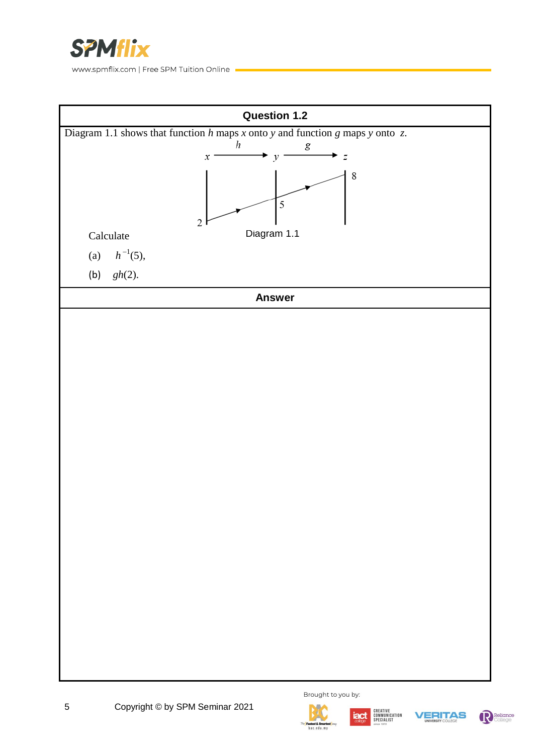











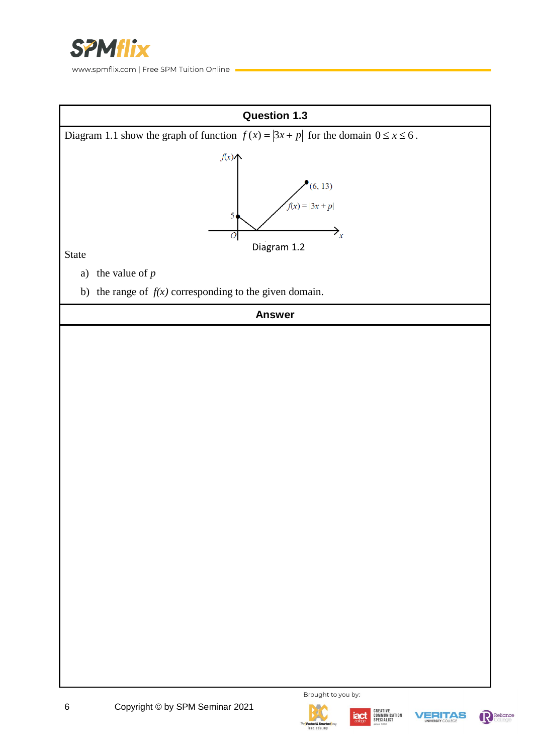

**Question 1.3** Diagram 1.1 show the graph of function  $f(x) = |3x + p|$  for the domain  $0 \le x \le 6$ .  $f(x)$  $(6, 13)$  $f(x) = |3x + p|$ 5 →.  $\overline{O}$ Diagram 1.2 State a) the value of *p* b) the range of  $f(x)$  corresponding to the given domain. **Answer**











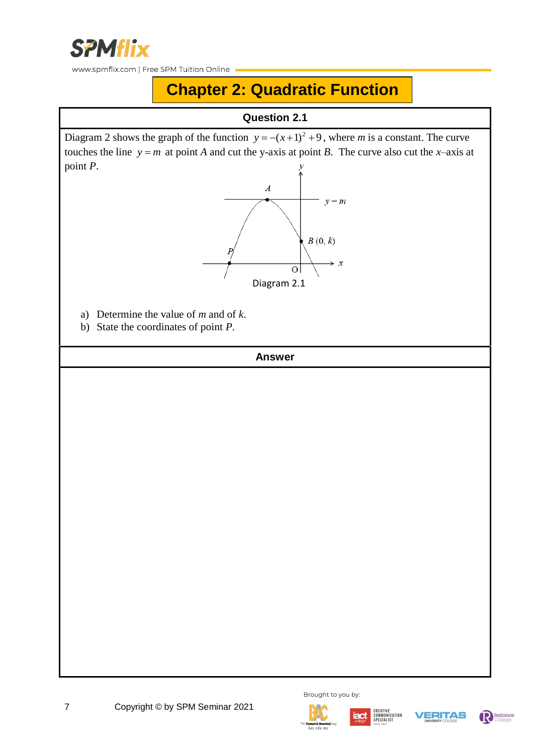

# **Chapter 2: Quadratic Function**

### **Question 2.1**

Diagram 2 shows the graph of the function  $y = -(x+1)^2 + 9$ , where *m* is a constant. The curve touches the line  $y = m$  at point *A* and cut the y-axis at point *B*. The curve also cut the *x*-axis at point *P*.



- a) Determine the value of *m* and of *k*.
- b) State the coordinates of point *P*.









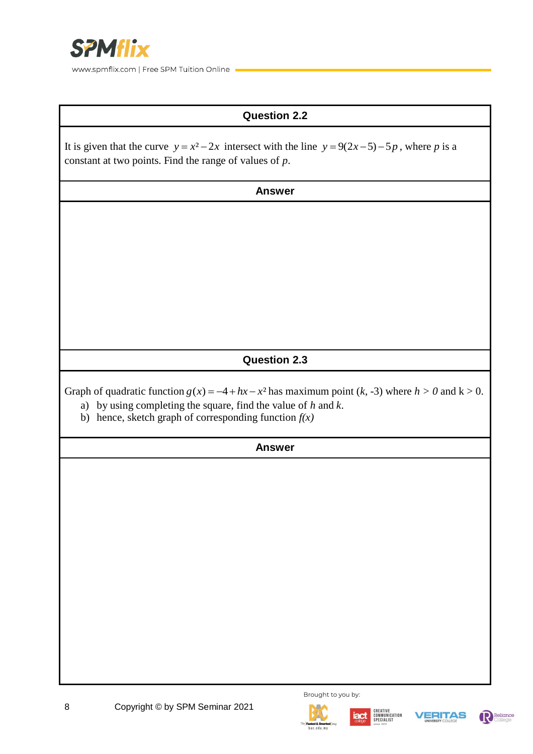

### **Question 2.2**

| It is given that the curve $y = x^2 - 2x$ intersect with the line $y = 9(2x-5) - 5p$ , where p is a<br>constant at two points. Find the range of values of $p$ .               |  |  |  |
|--------------------------------------------------------------------------------------------------------------------------------------------------------------------------------|--|--|--|
| <b>Answer</b>                                                                                                                                                                  |  |  |  |
|                                                                                                                                                                                |  |  |  |
|                                                                                                                                                                                |  |  |  |
|                                                                                                                                                                                |  |  |  |
|                                                                                                                                                                                |  |  |  |
|                                                                                                                                                                                |  |  |  |
|                                                                                                                                                                                |  |  |  |
| <b>Question 2.3</b>                                                                                                                                                            |  |  |  |
| Graph of quadratic function $g(x) = -4 + hx - x^2$ has maximum point (k, -3) where $h > 0$ and $k > 0$ .<br>a) by using completing the square, find the value of $h$ and $k$ . |  |  |  |

b) hence, sketch graph of corresponding function  $f(x)$ 







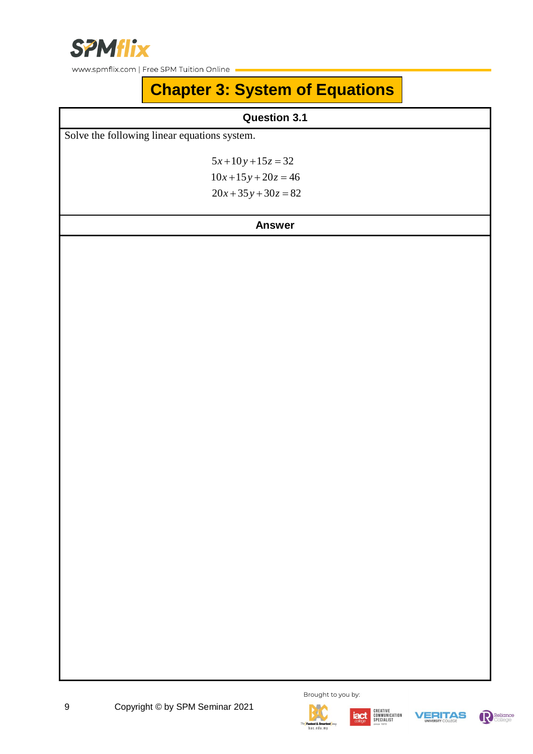

# **Chapter 3: System of Equations**

### **Question 3.1**

Solve the following linear equations system.

 $5x+10y+15z=32$  $10x+15y+20z=46$  $20x + 35y + 30z = 82$ 











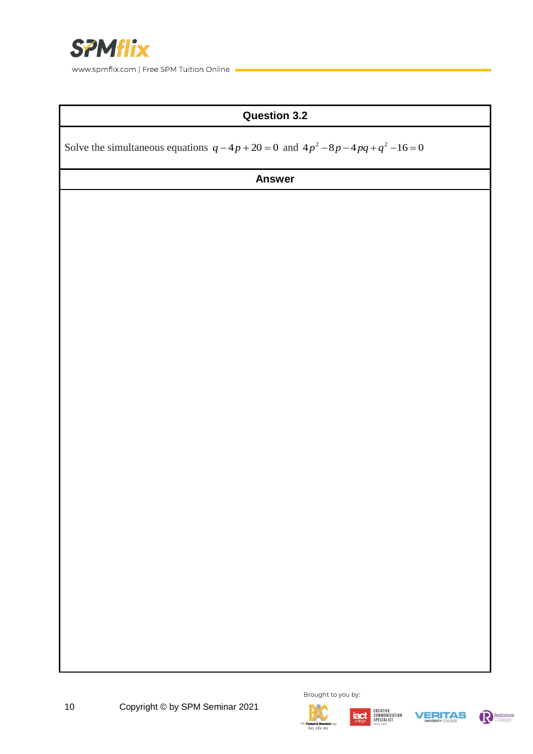

### **Question 3.2**

Solve the simultaneous equations  $q - 4p + 20 = 0$  and  $4p^2 - 8p - 4pq + q^2 - 16 = 0$ 









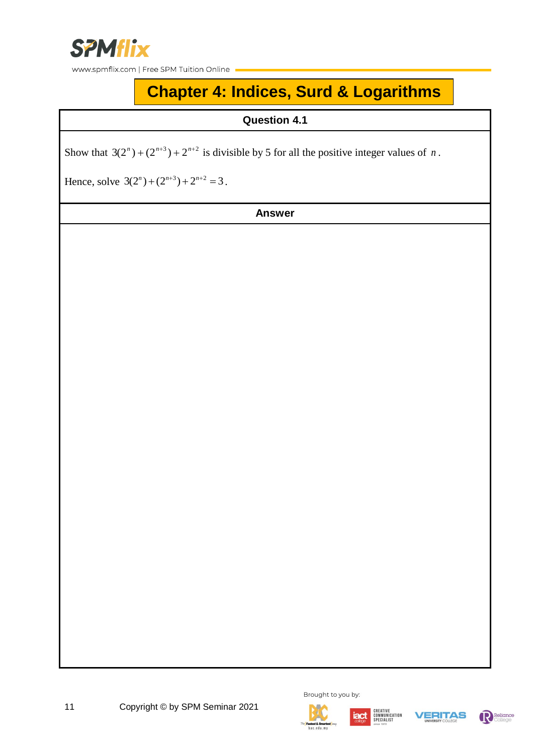

# **Chapter 4: Indices, Surd & Logarithms**

**Question 4.1**

Show that  $3(2^n) + (2^{n+3}) + 2^{n+2}$  is divisible by 5 for all the positive integer values of *n*.

Hence, solve  $3(2^n) + (2^{n+3}) + 2^{n+2} = 3$ .

**Answer**



Brought to you by:











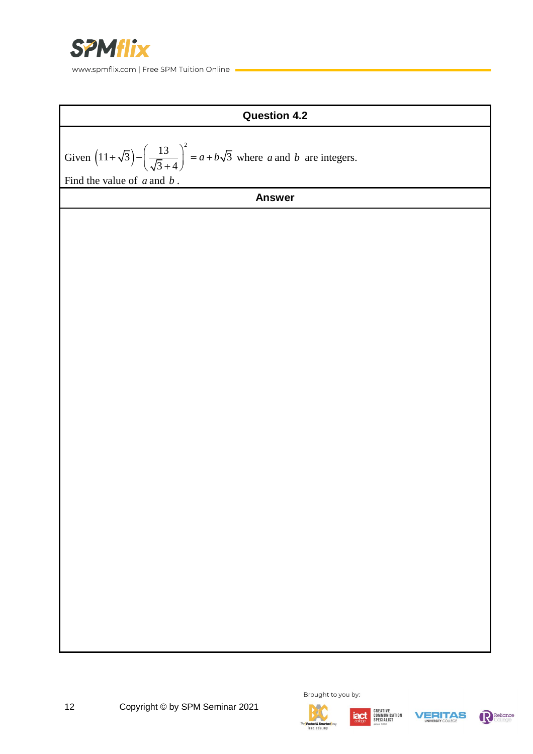



12 Copyright © by SPM Seminar 2021







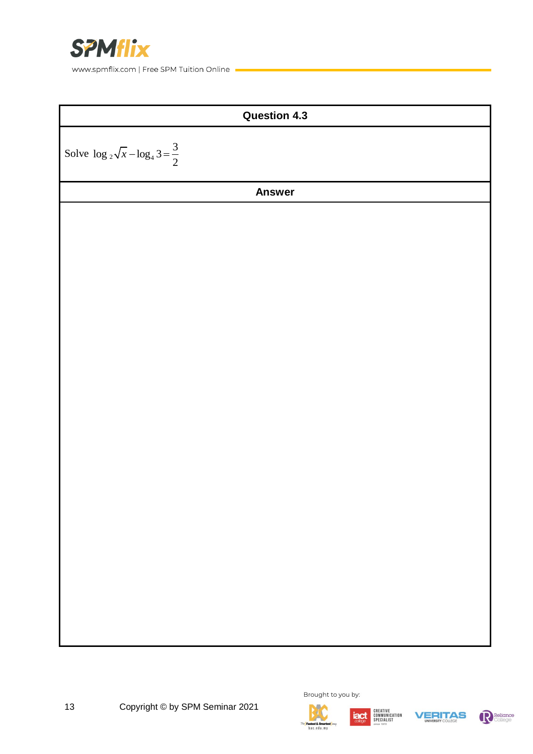







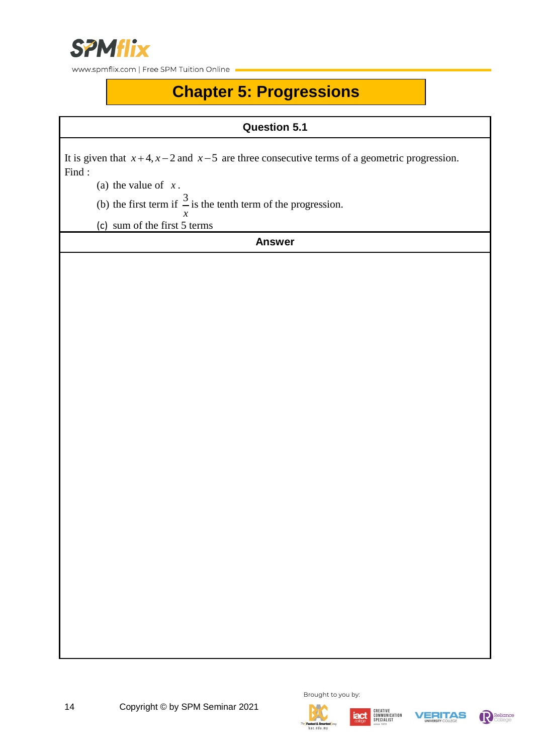

# **Chapter 5: Progressions**

**Question 5.1**

It is given that  $x+4$ ,  $x-2$  and  $x-5$  are three consecutive terms of a geometric progression. Find :

(a) the value of *x* .

(b) the first term if  $\frac{3}{5}$ is the tenth term of the progression.

*x* (c) sum of the first 5 terms







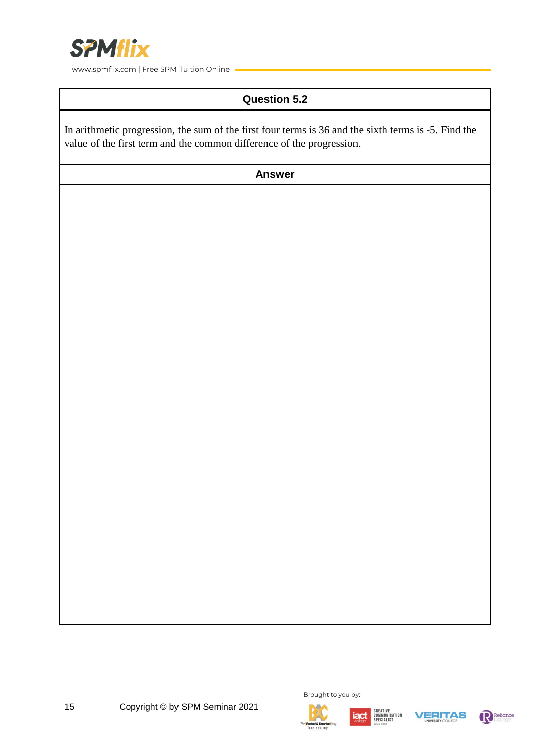

### **Question 5.2**

In arithmetic progression, the sum of the first four terms is 36 and the sixth terms is -5. Find the value of the first term and the common difference of the progression.

**Answer**





Brought to you by:





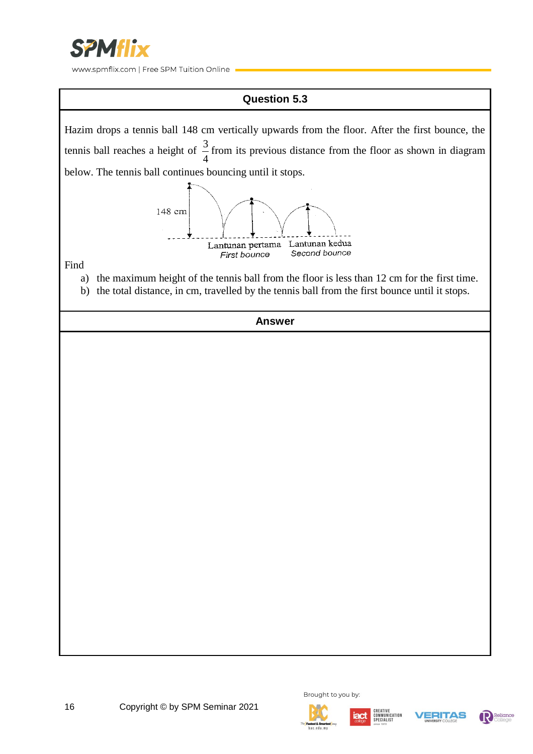

### **Question 5.3**

Hazim drops a tennis ball 148 cm vertically upwards from the floor. After the first bounce, the tennis ball reaches a height of  $\frac{3}{4}$ from its previous distance from the floor as shown in diagram 4 below. The tennis ball continues bouncing until it stops. 148 cm Lantunan pertama Lantunan kedua Second bounce First bounce Find a) the maximum height of the tennis ball from the floor is less than 12 cm for the first time.

b) the total distance, in cm, travelled by the tennis ball from the first bounce until it stops.













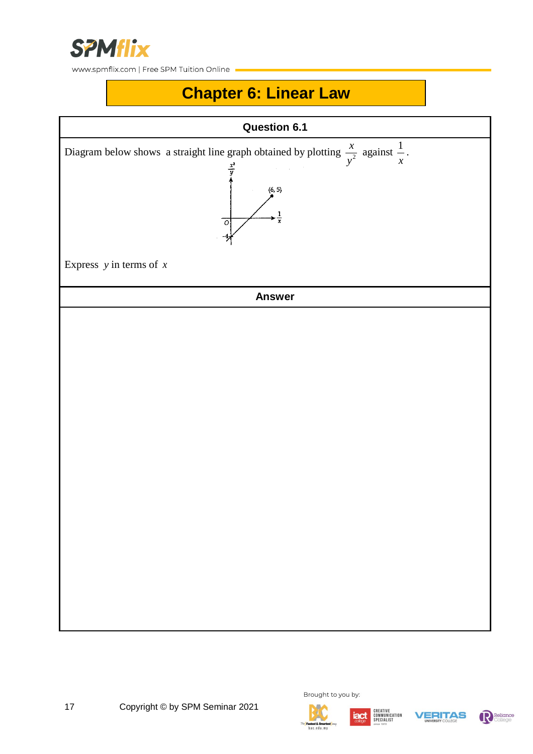

### **Chapter 6: Linear Law**



Brought to you by:



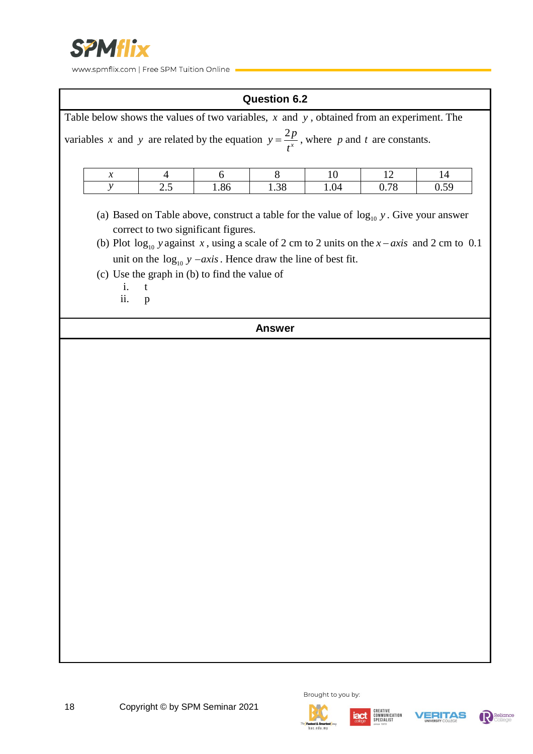

#### **Question 6.2**

|                                                                                                                                                                                                                                                                                                                | Table below shows the values of two variables, $x$ and $y$ , obtained from an experiment. The |     |      |      |      |      |      |
|----------------------------------------------------------------------------------------------------------------------------------------------------------------------------------------------------------------------------------------------------------------------------------------------------------------|-----------------------------------------------------------------------------------------------|-----|------|------|------|------|------|
| variables x and y are related by the equation $y = \frac{2p}{t^x}$ , where p and t are constants.                                                                                                                                                                                                              |                                                                                               |     |      |      |      |      |      |
|                                                                                                                                                                                                                                                                                                                | $\boldsymbol{x}$                                                                              | 4   | 6    | 8    | 10   | 12   | 14   |
|                                                                                                                                                                                                                                                                                                                | y                                                                                             | 2.5 | 1.86 | 1.38 | 1.04 | 0.78 | 0.59 |
| (a) Based on Table above, construct a table for the value of $\log_{10} y$ . Give your answer<br>correct to two significant figures.<br>(b) Plot $\log_{10}$ y against x, using a scale of 2 cm to 2 units on the x-axis and 2 cm to 0.1<br>unit on the $log_{10} y - axis$ . Hence draw the line of best fit. |                                                                                               |     |      |      |      |      |      |
| (c) Use the graph in (b) to find the value of<br>$-t$<br>$\mathbf{1}$ .<br>ii.<br>p                                                                                                                                                                                                                            |                                                                                               |     |      |      |      |      |      |
|                                                                                                                                                                                                                                                                                                                | <b>Answer</b>                                                                                 |     |      |      |      |      |      |









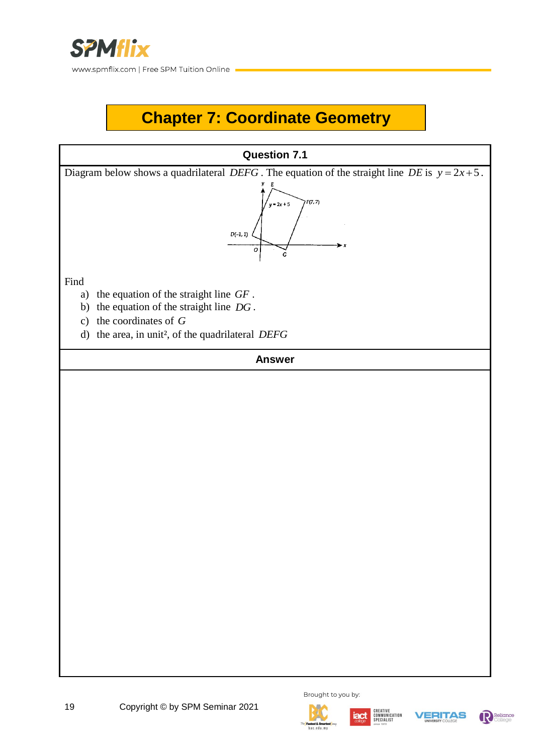

# **Chapter 7: Coordinate Geometry**

# **Question 7.1** Diagram below shows a quadrilateral *DEFG*. The equation of the straight line *DE* is  $y = 2x + 5$ . .<br>ד?ו**ד**א ,<br>γ=2x + 5  $D(-1, 1)$ a) the equation of the straight line *GF* . b) the equation of the straight line *DG* . c) the coordinates of *G* d) the area, in unit², of the quadrilateral *DEFG* **Answer**









Find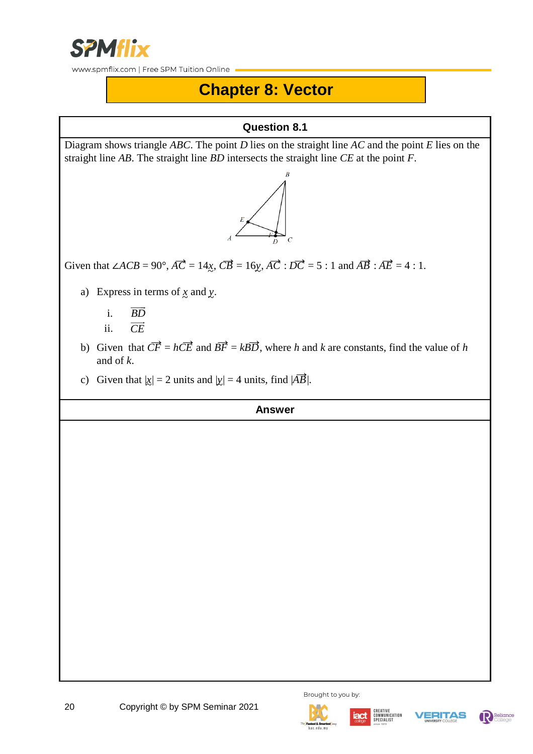

### **Chapter 8: Vector**

### **Question 8.1**

Diagram shows triangle *ABC*. The point *D* lies on the straight line *AC* and the point *E* lies on the straight line *AB*. The straight line *BD* intersects the straight line *CE* at the point *F*.



Given that  $\angle ACB = 90^\circ$ ,  $\overrightarrow{AC} = 14x$ ,  $\overrightarrow{CB} = 16y$ ,  $\overrightarrow{AC} : \overrightarrow{DC} = 5 : 1$  and  $\overrightarrow{AB} : \overrightarrow{AE} = 4 : 1$ .

- a) Express in terms of  $\chi$  and  $\chi$ .
	- i. *BD*
	- ii. *CE*
- b) Given that  $\overrightarrow{CF} = h\overrightarrow{CE}$  and  $\overrightarrow{BF} = kB\overrightarrow{D}$ , where *h* and *k* are constants, find the value of *h* and of *k*.
- c) Given that  $|\underline{x}| = 2$  units and  $|\underline{y}| = 4$  units, find  $|\overrightarrow{AB}|$ .







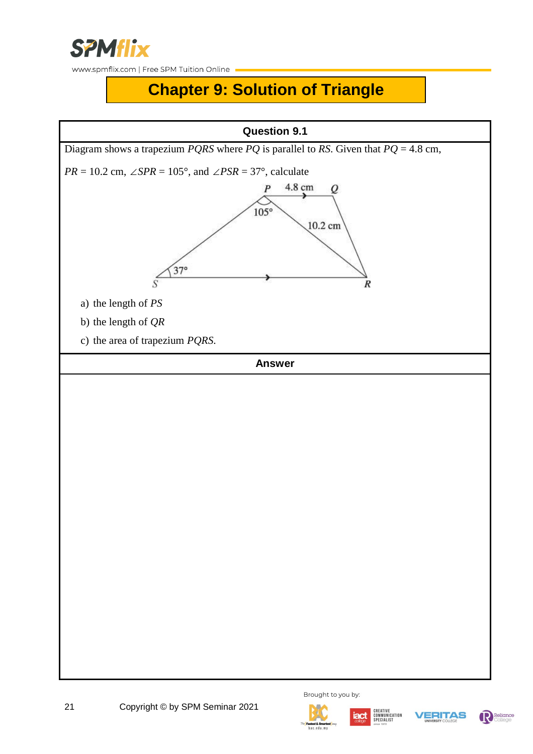

# **Chapter 9: Solution of Triangle**









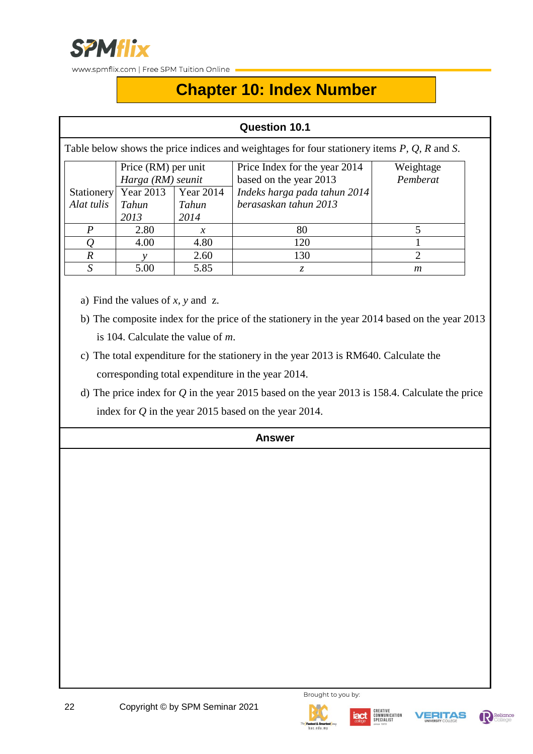

# **Chapter 10: Index Number**

### **Question 10.1**

Table below shows the price indices and weightages for four stationery items *P, Q, R* and *S*.

|                | Price (RM) per unit  |                  | Price Index for the year 2014 | Weightage |
|----------------|----------------------|------------------|-------------------------------|-----------|
|                | Harga (RM) seunit    |                  | based on the year 2013        | Pemberat  |
|                | Stationery Year 2013 | <b>Year 2014</b> | Indeks harga pada tahun 2014  |           |
| Alat tulis     | Tahun<br>Tahun       |                  | berasaskan tahun 2013         |           |
|                | 2013                 | 2014             |                               |           |
|                | 2.80                 | $\chi$           | 80                            |           |
|                | 4.00                 | 4.80             | 120                           |           |
| $\overline{R}$ |                      | 2.60             | 130                           |           |
|                | 5.00                 | 5.85             |                               | m         |

- a) Find the values of *x, y* and z.
- b) The composite index for the price of the stationery in the year 2014 based on the year 2013 is 104. Calculate the value of *m*.
- c) The total expenditure for the stationery in the year 2013 is RM640. Calculate the corresponding total expenditure in the year 2014.
- d) The price index for *Q* in the year 2015 based on the year 2013 is 158.4. Calculate the price index for *Q* in the year 2015 based on the year 2014.